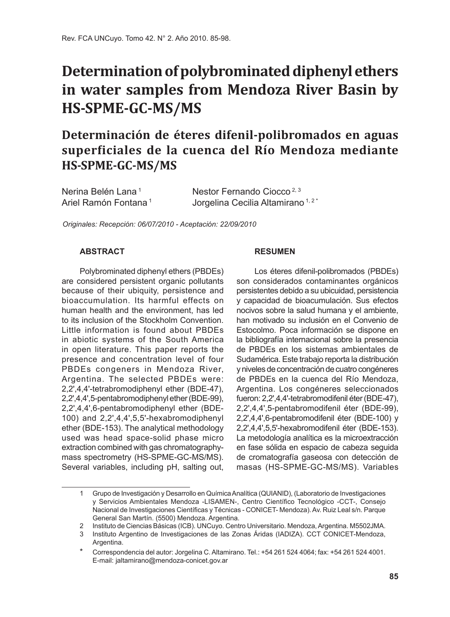# **Determination of polybrominated diphenyl ethers in water samples from Mendoza River Basin by HS-SPME-GC-MS/MS**

## **Determinación de éteres difenil-polibromados en aguas superficiales de la cuenca del Río Mendoza mediante HS-SPME-GC-MS/MS**

| Nerina Belén Lana <sup>1</sup>   | Nestor Fernando Ciocco <sup>2, 3</sup>       |
|----------------------------------|----------------------------------------------|
| Ariel Ramón Fontana <sup>1</sup> | Jorgelina Cecilia Altamirano <sup>1,2*</sup> |

*Originales: Recepción: 06/07/2010 - Aceptación: 22/09/2010*

#### **ABSTRACT**

Polybrominated diphenyl ethers (PBDEs) are considered persistent organic pollutants because of their ubiquity, persistence and bioaccumulation. Its harmful effects on human health and the environment, has led to its inclusion of the Stockholm Convention. Little information is found about PBDEs in abiotic systems of the South America in open literature. This paper reports the presence and concentration level of four PBDEs congeners in Mendoza River, Argentina. The selected PBDEs were: 2,2',4,4'-tetrabromodiphenyl ether (BDE-47), 2,2',4,4',5-pentabromodiphenyl ether (BDE-99), 2,2',4,4',6-pentabromodiphenyl ether (BDE-100) and 2,2',4,4',5,5'-hexabromodiphenyl ether (BDE-153). The analytical methodology used was head space-solid phase micro extraction combined with gas chromatographymass spectrometry (HS-SPME-GC-MS/MS). Several variables, including pH, salting out,

#### **RESUMEN**

Los éteres difenil-polibromados (PBDEs) son considerados contaminantes orgánicos persistentes debido a su ubicuidad, persistencia y capacidad de bioacumulación. Sus efectos nocivos sobre la salud humana y el ambiente, han motivado su inclusión en el Convenio de Estocolmo. Poca información se dispone en la bibliografía internacional sobre la presencia de PBDEs en los sistemas ambientales de Sudamérica. Este trabajo reporta la distribución y niveles de concentración de cuatro congéneres de PBDEs en la cuenca del Río Mendoza, Argentina. Los congéneres seleccionados fueron: 2,2',4,4'-tetrabromodifenil éter (BDE-47), 2,2',4,4',5-pentabromodifenil éter (BDE-99), 2,2',4,4',6-pentabromodifenil éter (BDE-100) y 2,2',4,4',5,5'-hexabromodifenil éter (BDE-153). La metodología analítica es la microextracción en fase sólida en espacio de cabeza seguida de cromatografía gaseosa con detección de masas (HS-SPME-GC-MS/MS). Variables

<sup>1</sup> Grupo de Investigación y Desarrollo en Química Analítica (QUIANID), (Laboratorio de Investigaciones y Servicios Ambientales Mendoza -LISAMEN-, Centro Científico Tecnológico -CCT-, Consejo Nacional de Investigaciones Científicas y Técnicas - CONICET- Mendoza). Av. Ruiz Leal s/n. Parque General San Martín. (5500) Mendoza. Argentina.

<sup>2</sup> Instituto de Ciencias Básicas (ICB). UNCuyo. Centro Universitario. Mendoza, Argentina. M5502JMA.

<sup>3</sup> Instituto Argentino de Investigaciones de las Zonas Áridas (IADIZA). CCT CONICET-Mendoza, Argentina.

<sup>\*</sup> Correspondencia del autor: Jorgelina C. Altamirano. Tel.: +54 261 524 4064; fax: +54 261 524 4001. E-mail: jaltamirano@mendoza-conicet.gov.ar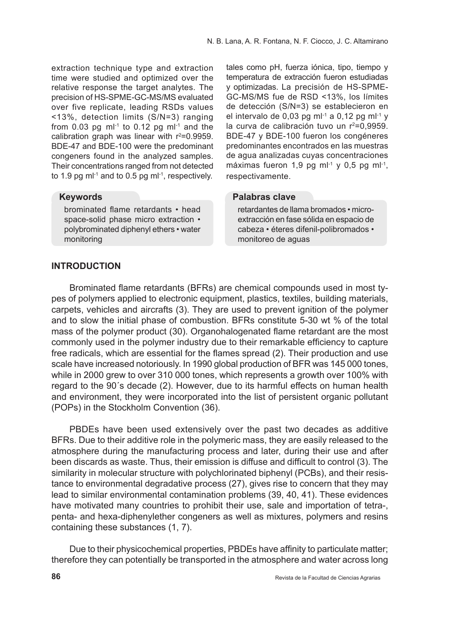extraction technique type and extraction time were studied and optimized over the relative response the target analytes. The precision of HS-SPME-GC-MS/MS evaluated over five replicate, leading RSDs values <13%, detection limits (S/N=3) ranging from 0.03 pg m $\vert$ <sup>1</sup> to 0.12 pg m $\vert$ <sup>1</sup> and the calibration graph was linear with  $r^2 = 0.9959$ . BDE-47 and BDE-100 were the predominant congeners found in the analyzed samples. Their concentrations ranged from not detected to 1.9 pg m $l^{-1}$  and to 0.5 pg m $l^{-1}$ , respectively.

#### **Keywords**

brominated flame retardants • head space-solid phase micro extraction • polybrominated diphenyl ethers • water monitoring

tales como pH, fuerza iónica, tipo, tiempo y temperatura de extracción fueron estudiadas y optimizadas. La precisión de HS-SPME-GC-MS/MS fue de RSD <13%, los límites de detección (S/N=3) se establecieron en el intervalo de 0,03 pg ml<sup>-1</sup> a 0,12 pg ml<sup>-1</sup> y la curva de calibración tuvo un  $r^2=0.9959$ . BDE-47 y BDE-100 fueron los congéneres predominantes encontrados en las muestras de agua analizadas cuyas concentraciones máximas fueron 1.9 pg m $l^{-1}$  v 0.5 pg m $l^{-1}$ . respectivamente.

## **Palabras clave**

retardantes de llama bromados • microextracción en fase sólida en espacio de cabeza • éteres difenil-polibromados • monitoreo de aguas

## **INTRODUCTION**

Brominated flame retardants (BFRs) are chemical compounds used in most types of polymers applied to electronic equipment, plastics, textiles, building materials, carpets, vehicles and aircrafts (3). They are used to prevent ignition of the polymer and to slow the initial phase of combustion. BFRs constitute 5-30 wt % of the total mass of the polymer product (30). Organohalogenated flame retardant are the most commonly used in the polymer industry due to their remarkable efficiency to capture free radicals, which are essential for the flames spread (2). Their production and use scale have increased notoriously. In 1990 global production of BFR was 145 000 tones, while in 2000 grew to over 310 000 tones, which represents a growth over 100% with regard to the 90´s decade (2). However, due to its harmful effects on human health and environment, they were incorporated into the list of persistent organic pollutant (POPs) in the Stockholm Convention (36).

PBDEs have been used extensively over the past two decades as additive BFRs. Due to their additive role in the polymeric mass, they are easily released to the atmosphere during the manufacturing process and later, during their use and after been discards as waste. Thus, their emission is diffuse and difficult to control (3). The similarity in molecular structure with polychlorinated biphenyl (PCBs), and their resistance to environmental degradative process (27), gives rise to concern that they may lead to similar environmental contamination problems (39, 40, 41). These evidences have motivated many countries to prohibit their use, sale and importation of tetra-, penta- and hexa-diphenylether congeners as well as mixtures, polymers and resins containing these substances (1, 7).

Due to their physicochemical properties, PBDEs have affinity to particulate matter; therefore they can potentially be transported in the atmosphere and water across long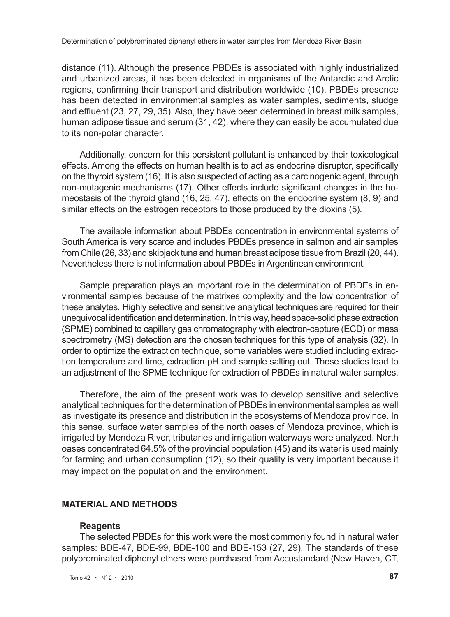distance (11). Although the presence PBDEs is associated with highly industrialized and urbanized areas, it has been detected in organisms of the Antarctic and Arctic regions, confirming their transport and distribution worldwide (10). PBDEs presence has been detected in environmental samples as water samples, sediments, sludge and effluent (23, 27, 29, 35). Also, they have been determined in breast milk samples, human adipose tissue and serum (31, 42), where they can easily be accumulated due to its non-polar character.

Additionally, concern for this persistent pollutant is enhanced by their toxicological effects. Among the effects on human health is to act as endocrine disruptor, specifically on the thyroid system (16). It is also suspected of acting as a carcinogenic agent, through non-mutagenic mechanisms (17). Other effects include significant changes in the homeostasis of the thyroid gland (16, 25, 47), effects on the endocrine system (8, 9) and similar effects on the estrogen receptors to those produced by the dioxins (5).

The available information about PBDEs concentration in environmental systems of South America is very scarce and includes PBDEs presence in salmon and air samples from Chile (26, 33) and skipjack tuna and human breast adipose tissue from Brazil (20, 44). Nevertheless there is not information about PBDEs in Argentinean environment.

Sample preparation plays an important role in the determination of PBDEs in environmental samples because of the matrixes complexity and the low concentration of these analytes. Highly selective and sensitive analytical techniques are required for their unequivocal identification and determination. In this way, head space-solid phase extraction (SPME) combined to capillary gas chromatography with electron-capture (ECD) or mass spectrometry (MS) detection are the chosen techniques for this type of analysis (32). In order to optimize the extraction technique, some variables were studied including extraction temperature and time, extraction pH and sample salting out. These studies lead to an adjustment of the SPME technique for extraction of PBDEs in natural water samples.

Therefore, the aim of the present work was to develop sensitive and selective analytical techniques for the determination of PBDEs in environmental samples as well as investigate its presence and distribution in the ecosystems of Mendoza province. In this sense, surface water samples of the north oases of Mendoza province, which is irrigated by Mendoza River, tributaries and irrigation waterways were analyzed. North oases concentrated 64.5% of the provincial population (45) and its water is used mainly for farming and urban consumption (12), so their quality is very important because it may impact on the population and the environment.

## **Material and methods**

#### **Reagents**

The selected PBDEs for this work were the most commonly found in natural water samples: BDE-47, BDE-99, BDE-100 and BDE-153 (27, 29). The standards of these polybrominated diphenyl ethers were purchased from Accustandard (New Haven, CT,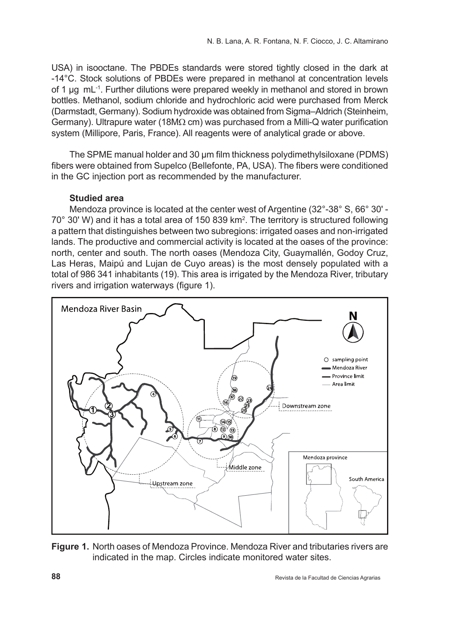USA) in isooctane. The PBDEs standards were stored tightly closed in the dark at -14°C. Stock solutions of PBDEs were prepared in methanol at concentration levels of 1 µg mL-1. Further dilutions were prepared weekly in methanol and stored in brown bottles. Methanol, sodium chloride and hydrochloric acid were purchased from Merck (Darmstadt, Germany). Sodium hydroxide was obtained from Sigma–Aldrich (Steinheim, Germany). Ultrapure water (18MΩ cm) was purchased from a Milli-Q water purification system (Millipore, Paris, France). All reagents were of analytical grade or above.

The SPME manual holder and 30 µm film thickness polydimethylsiloxane (PDMS) fibers were obtained from Supelco (Bellefonte, PA, USA). The fibers were conditioned in the GC injection port as recommended by the manufacturer.

## **Studied area**

Mendoza province is located at the center west of Argentine (32°-38° S, 66° 30' - 70° 30' W) and it has a total area of 150 839 km<sup>2</sup> . The territory is structured following a pattern that distinguishes between two subregions: irrigated oases and non-irrigated lands. The productive and commercial activity is located at the oases of the province: north, center and south. The north oases (Mendoza City, Guaymallén, Godoy Cruz, Las Heras, Maipú and Lujan de Cuyo areas) is the most densely populated with a total of 986 341 inhabitants (19). This area is irrigated by the Mendoza River, tributary rivers and irrigation waterways (figure 1).



**Figure 1.** North oases of Mendoza Province. Mendoza River and tributaries rivers are indicated in the map. Circles indicate monitored water sites.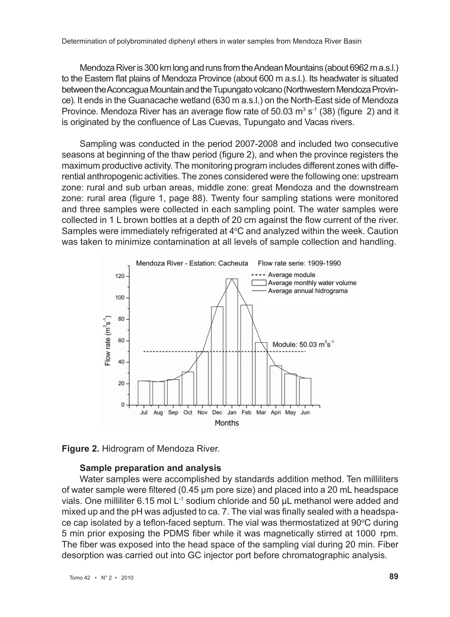Mendoza River is 300 km long and runs from the Andean Mountains (about 6962 m a.s.l.) to the Eastern flat plains of Mendoza Province (about 600 m a.s.l.). Its headwater is situated between the Aconcagua Mountain and the Tupungato volcano (Northwestern Mendoza Province). It ends in the Guanacache wetland (630 m a.s.l.) on the North-East side of Mendoza Province. Mendoza River has an average flow rate of 50.03  $m^3$  s<sup>-1</sup> (38) (figure 2) and it is originated by the confluence of Las Cuevas, Tupungato and Vacas rivers.

Sampling was conducted in the period 2007-2008 and included two consecutive seasons at beginning of the thaw period (figure 2), and when the province registers the maximum productive activity. The monitoring program includes different zones with differential anthropogenic activities. The zones considered were the following one: upstream zone: rural and sub urban areas, middle zone: great Mendoza and the downstream zone: rural area (figure 1, page 88). Twenty four sampling stations were monitored and three samples were collected in each sampling point. The water samples were collected in 1 L brown bottles at a depth of 20 cm against the flow current of the river. Samples were immediately refrigerated at  $4^{\circ}$ C and analyzed within the week. Caution was taken to minimize contamination at all levels of sample collection and handling.



**Figure 2.** Hidrogram of Mendoza River.

## **Sample preparation and analysis**

Water samples were accomplished by standards addition method. Ten milliliters of water sample were filtered (0.45 µm pore size) and placed into a 20 mL headspace vials. One milliliter 6.15 mol L-1 sodium chloride and 50 µL methanol were added and mixed up and the pH was adjusted to ca. 7. The vial was finally sealed with a headspace cap isolated by a teflon-faced septum. The vial was thermostatized at  $90^{\circ}$ C during 5 min prior exposing the PDMS fiber while it was magnetically stirred at 1000 rpm. The fiber was exposed into the head space of the sampling vial during 20 min. Fiber desorption was carried out into GC injector port before chromatographic analysis.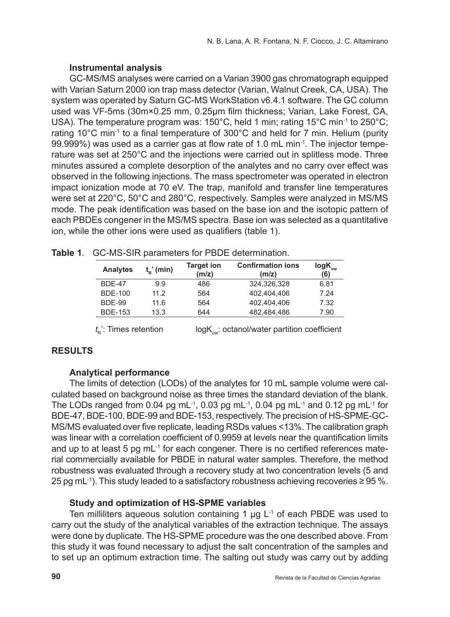## **Instrumental analysis**

GC-MS/MS analyses were carried on a Varian 3900 gas chromatograph equipped with Varian Saturn 2000 ion trap mass detector (Varian, Walnut Creek, CA, USA). The system was operated by Saturn GC-MS WorkStation v6.4.1 software. The GC column used was VF-5ms (30m×0.25 mm, 0.25µm film thickness; Varian, Lake Forest, CA, USA). The temperature program was: 150°C, held 1 min; rating 15°C min-1 to 250°C; rating 10°C min-1 to a final temperature of 300°C and held for 7 min. Helium (purity 99.999%) was used as a carrier gas at flow rate of 1.0 mL min-1. The injector temperature was set at 250°C and the injections were carried out in splitless mode. Three minutes assured a complete desorption of the analytes and no carry over effect was observed in the following injections. The mass spectrometer was operated in electron impact ionization mode at 70 eV. The trap, manifold and transfer line temperatures were set at 220°C, 50°C and 280°C, respectively. Samples were analyzed in MS/MS mode. The peak identification was based on the base ion and the isotopic pattern of each PBDEs congener in the MS/MS spectra. Base ion was selected as a quantitative ion, while the other ions were used as qualifiers (table 1).

| Analytes       | $t_n'$ (min) | <b>Target ion</b><br>(m/z) | <b>Confirmation ions</b><br>(m/z) | $log K_{_{\rm{ow}}}$<br>(6) |
|----------------|--------------|----------------------------|-----------------------------------|-----------------------------|
| BDF-47         | 9.9          | 486                        | 324.326.328                       | 6.81                        |
| BDF-100        | 11.2         | 564                        | 402.404.406                       | 7 24                        |
| <b>BDF-99</b>  | 11 6         | 564                        | 402.404.406                       | 7.32                        |
| <b>BDE-153</b> | 13.3         | 644                        | 482.484.486                       | 7.90                        |

|  |  | Table 1. GC-MS-SIR parameters for PBDE determination. |  |  |
|--|--|-------------------------------------------------------|--|--|
|--|--|-------------------------------------------------------|--|--|

## $t_{R}$ : Times retention logK<sub>ow</sub>: octanol/water partition coefficient

## **Results**

## **Analytical performance**

The limits of detection (LODs) of the analytes for 10 mL sample volume were calculated based on background noise as three times the standard deviation of the blank. The LODs ranged from 0.04 pg mL $^{-1}$ , 0.03 pg mL $^{-1}$ , 0.04 pg mL $^{-1}$  and 0.12 pg mL $^{-1}$  for BDE-47, BDE-100, BDE-99 and BDE-153, respectively. The precision of HS-SPME-GC-MS/MS evaluated over five replicate, leading RSDs values <13%. The calibration graph was linear with a correlation coefficient of 0.9959 at levels near the quantification limits and up to at least 5 pg mL<sup>-1</sup> for each congener. There is no certified references material commercially available for PBDE in natural water samples. Therefore, the method robustness was evaluated through a recovery study at two concentration levels (5 and 25 pg mL-1). This study leaded to a satisfactory robustness achieving recoveries ≥ 95 %.

## **Study and optimization of HS-SPME variables**

Ten milliliters aqueous solution containing 1  $\mu$ g L<sup>-1</sup> of each PBDE was used to carry out the study of the analytical variables of the extraction technique. The assays were done by duplicate. The HS-SPME procedure was the one described above. From this study it was found necessary to adjust the salt concentration of the samples and to set up an optimum extraction time. The salting out study was carry out by adding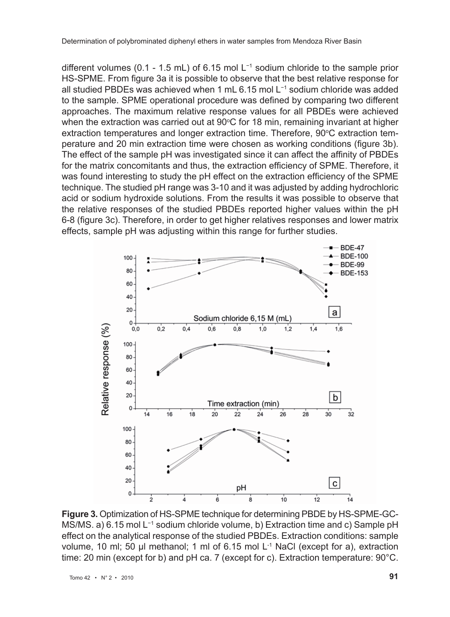different volumes (0.1 - 1.5 mL) of 6.15 mol L−1 sodium chloride to the sample prior HS-SPME. From figure 3a it is possible to observe that the best relative response for all studied PBDEs was achieved when 1 mL 6.15 mol L−1 sodium chloride was added to the sample. SPME operational procedure was defined by comparing two different approaches. The maximum relative response values for all PBDEs were achieved when the extraction was carried out at 90°C for 18 min, remaining invariant at higher extraction temperatures and longer extraction time. Therefore, 90°C extraction temperature and 20 min extraction time were chosen as working conditions (figure 3b). The effect of the sample pH was investigated since it can affect the affinity of PBDEs for the matrix concomitants and thus, the extraction efficiency of SPME. Therefore, it was found interesting to study the pH effect on the extraction efficiency of the SPME technique. The studied pH range was 3-10 and it was adjusted by adding hydrochloric acid or sodium hydroxide solutions. From the results it was possible to observe that the relative responses of the studied PBDEs reported higher values within the pH 6-8 (figure 3c). Therefore, in order to get higher relatives responses and lower matrix effects, sample pH was adjusting within this range for further studies.



**Figure 3.** Optimization of HS-SPME technique for determining PBDE by HS-SPME-GC-MS/MS. a) 6.15 mol L−1 sodium chloride volume, b) Extraction time and c) Sample pH effect on the analytical response of the studied PBDEs. Extraction conditions: sample volume, 10 ml; 50 µl methanol; 1 ml of 6.15 mol L<sup>-1</sup> NaCl (except for a), extraction time: 20 min (except for b) and pH ca. 7 (except for c). Extraction temperature: 90°C.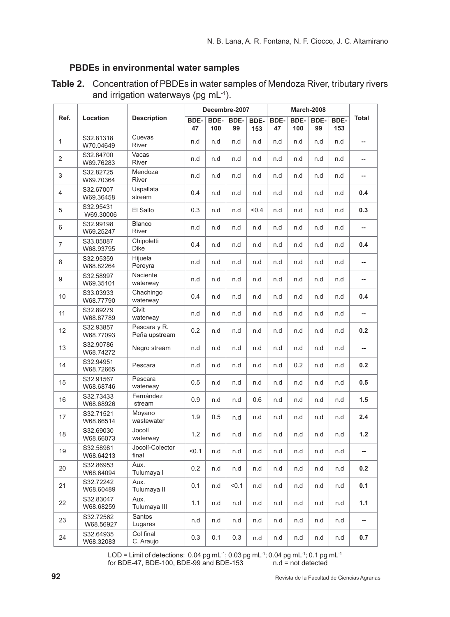## **PBDEs in environmental water samples**

| Ref.           | Location               | <b>Description</b>            | Decembre-2007 |             |            | March-2008  |            |             |            |             |                          |
|----------------|------------------------|-------------------------------|---------------|-------------|------------|-------------|------------|-------------|------------|-------------|--------------------------|
|                |                        |                               | BDE-<br>47    | BDE-<br>100 | BDE-<br>99 | BDE-<br>153 | BDE-<br>47 | BDE-<br>100 | BDE-<br>99 | BDE-<br>153 | <b>Total</b>             |
| $\mathbf{1}$   | S32.81318<br>W70.04649 | Cuevas<br>River               | n.d           | n.d         | n.d        | n.d         | n.d        | n.d         | n.d        | n.d         | --                       |
| 2              | S32.84700<br>W69.76283 | Vacas<br><b>River</b>         | n.d           | n.d         | n.d        | n.d         | n.d        | n.d         | n.d        | n.d         | --                       |
| 3              | S32.82725<br>W69.70364 | Mendoza<br>River              | n.d           | n.d         | n.d        | n.d         | n.d        | n.d         | n.d        | n.d         | ш,                       |
| $\overline{4}$ | S32.67007<br>W69.36458 | Uspallata<br>stream           | 0.4           | n.d         | n.d        | n.d         | n.d        | n.d         | n.d        | n.d         | 0.4                      |
| 5              | S32.95431<br>W69.30006 | El Salto                      | 0.3           | n.d         | n.d        | < 0.4       | n.d        | n.d         | n.d        | n.d         | 0.3                      |
| 6              | S32.99198<br>W69.25247 | <b>Blanco</b><br>River        | n.d           | n.d         | n.d        | n.d         | n.d        | n.d         | n.d        | n.d         | $\overline{\phantom{a}}$ |
| $\overline{7}$ | S33.05087<br>W68.93795 | Chipoletti<br><b>Dike</b>     | 0.4           | n.d         | n.d        | n.d         | n.d        | n.d         | n.d        | n.d         | 0.4                      |
| 8              | S32.95359<br>W68.82264 | Hiiuela<br>Pereyra            | n.d           | n.d         | n.d        | n.d         | n.d        | n.d         | n.d        | n.d         | $\overline{a}$           |
| 9              | S32.58997<br>W69.35101 | Naciente<br>waterway          | n.d           | n.d         | n.d        | n.d         | n.d        | n.d         | n.d        | n.d         | μ.                       |
| 10             | S33.03933<br>W68.77790 | Chachingo<br>waterway         | 0.4           | n.d         | n.d        | n.d         | n.d        | n.d         | n.d        | n.d         | 0.4                      |
| 11             | S32.89279<br>W68.87789 | Civit<br>waterway             | n.d           | n.d         | n.d        | n.d         | n.d        | n.d         | n.d        | n.d         | μ.                       |
| 12             | S32.93857<br>W68.77093 | Pescara y R.<br>Peña upstream | 0.2           | n.d         | n.d        | n.d         | n.d        | n.d         | n.d        | n.d         | 0.2                      |
| 13             | S32.90786<br>W68.74272 | Negro stream                  | n.d           | n.d         | n.d        | n.d         | n.d        | n.d         | n.d        | n.d         | --                       |
| 14             | S32.94951<br>W68.72665 | Pescara                       | n.d           | n.d         | n.d        | n.d         | n.d        | 0.2         | n.d        | n.d         | 0.2                      |
| 15             | S32.91567<br>W68.68746 | Pescara<br>waterway           | 0.5           | n.d         | n.d        | n.d         | n.d        | n.d         | n.d        | n.d         | 0.5                      |
| 16             | S32.73433<br>W68.68926 | Fernández<br>stream           | 0.9           | n.d         | n.d        | 0.6         | n.d        | n.d         | n.d        | n.d         | 1.5                      |
| 17             | S32.71521<br>W68.66514 | Moyano<br>wastewater          | 1.9           | 0.5         | n.d        | n.d         | n.d        | n.d         | n.d        | n.d         | 2.4                      |
| 18             | S32.69030<br>W68.66073 | Jocolí<br>waterway            | 1.2           | n.d         | n.d        | n.d         | n.d        | n.d         | n.d        | n.d         | $1.2$                    |
| 19             | S32.58981<br>W68.64213 | Jocolí-Colector<br>final      | < 0.1         | n.d         | n.d        | n.d         | n.d        | n.d         | n.d        | n.d         | --                       |
| 20             | S32.86953<br>W68.64094 | Aux.<br>Tulumaya I            | 0.2           | n.d         | n.d        | n.d         | n.d        | n.d         | n.d        | n.d         | 0.2                      |
| 21             | S32.72242<br>W68.60489 | Aux.<br>Tulumaya II           | 0.1           | n.d         | < 0.1      | n.d         | n.d        | n.d         | n.d        | n.d         | 0.1                      |
| 22             | S32.83047<br>W68.68259 | Aux.<br>Tulumaya III          | 1.1           | n.d         | n.d        | n.d         | n.d        | n.d         | n.d        | n.d         | 1.1                      |
| 23             | S32.72562<br>W68.56927 | Santos<br>Lugares             | n.d           | n.d         | n.d        | n.d         | n.d        | n.d         | n.d        | n.d         | --                       |
| 24             | S32.64935<br>W68.32083 | Col final<br>C. Araujo        | 0.3           | 0.1         | 0.3        | n.d         | n.d        | n.d         | n.d        | n.d         | 0.7                      |

**Table 2.** Concentration of PBDEs in water samples of Mendoza River, tributary rivers and irrigation waterways (pg mL-1).

LOD = Limit of detections:  $0.04$  pg mL $^{-1}$ ;  $0.03$  pg mL $^{-1}$ ;  $0.04$  pg mL $^{-1}$ ;  $0.1$  pg mL $^{-1}$  for BDE-47, BDE-100, BDE-99 and BDE-153 n.d = not detected for BDE-47, BDE-100, BDE-99 and BDE-153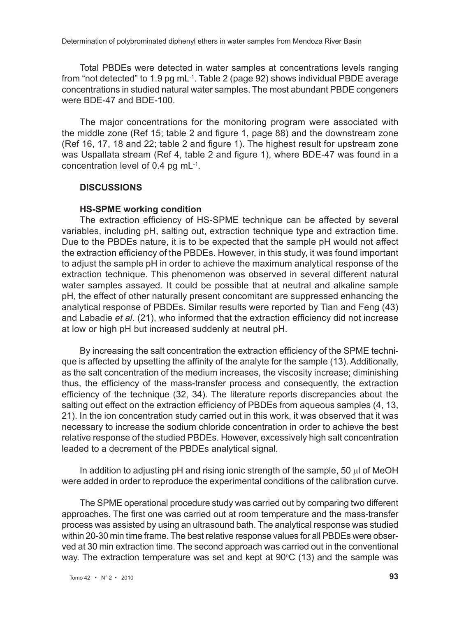Total PBDEs were detected in water samples at concentrations levels ranging from "not detected" to 1.9 pg mL-1. Table 2 (page 92) shows individual PBDE average concentrations in studied natural water samples. The most abundant PBDE congeners were BDE-47 and BDE-100.

The major concentrations for the monitoring program were associated with the middle zone (Ref 15; table 2 and figure 1, page 88) and the downstream zone (Ref 16, 17, 18 and 22; table 2 and figure 1). The highest result for upstream zone was Uspallata stream (Ref 4, table 2 and figure 1), where BDE-47 was found in a concentration level of 0.4 pg mL-1.

#### **Discussions**

#### **HS-SPME working condition**

The extraction efficiency of HS-SPME technique can be affected by several variables, including pH, salting out, extraction technique type and extraction time. Due to the PBDEs nature, it is to be expected that the sample pH would not affect the extraction efficiency of the PBDEs. However, in this study, it was found important to adjust the sample pH in order to achieve the maximum analytical response of the extraction technique. This phenomenon was observed in several different natural water samples assayed. It could be possible that at neutral and alkaline sample pH, the effect of other naturally present concomitant are suppressed enhancing the analytical response of PBDEs. Similar results were reported by Tian and Feng (43) and Labadie *et al.* (21), who informed that the extraction efficiency did not increase at low or high pH but increased suddenly at neutral pH.

By increasing the salt concentration the extraction efficiency of the SPME technique is affected by upsetting the affinity of the analyte for the sample (13). Additionally, as the salt concentration of the medium increases, the viscosity increase; diminishing thus, the efficiency of the mass-transfer process and consequently, the extraction efficiency of the technique (32, 34). The literature reports discrepancies about the salting out effect on the extraction efficiency of PBDEs from aqueous samples (4, 13, 21). In the ion concentration study carried out in this work, it was observed that it was necessary to increase the sodium chloride concentration in order to achieve the best relative response of the studied PBDEs. However, excessively high salt concentration leaded to a decrement of the PBDEs analytical signal.

In addition to adjusting  $pH$  and rising ionic strength of the sample, 50  $\mu$  of MeOH were added in order to reproduce the experimental conditions of the calibration curve.

The SPME operational procedure study was carried out by comparing two different approaches. The first one was carried out at room temperature and the mass-transfer process was assisted by using an ultrasound bath. The analytical response was studied within 20-30 min time frame. The best relative response values for all PBDEs were observed at 30 min extraction time. The second approach was carried out in the conventional way. The extraction temperature was set and kept at  $90^{\circ}$ C (13) and the sample was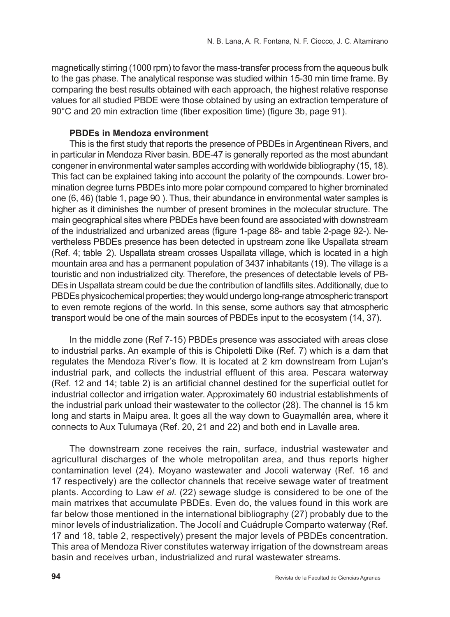magnetically stirring (1000 rpm) to favor the mass-transfer process from the aqueous bulk to the gas phase. The analytical response was studied within 15-30 min time frame. By comparing the best results obtained with each approach, the highest relative response values for all studied PBDE were those obtained by using an extraction temperature of 90°C and 20 min extraction time (fiber exposition time) (figure 3b, page 91).

## **PBDEs in Mendoza environment**

This is the first study that reports the presence of PBDEs in Argentinean Rivers, and in particular in Mendoza River basin. BDE-47 is generally reported as the most abundant congener in environmental water samples according with worldwide bibliography (15, 18). This fact can be explained taking into account the polarity of the compounds. Lower bromination degree turns PBDEs into more polar compound compared to higher brominated one (6, 46) (table 1, page 90 ). Thus, their abundance in environmental water samples is higher as it diminishes the number of present bromines in the molecular structure. The main geographical sites where PBDEs have been found are associated with downstream of the industrialized and urbanized areas (figure 1-page 88- and table 2-page 92-). Nevertheless PBDEs presence has been detected in upstream zone like Uspallata stream (Ref. 4; table 2). Uspallata stream crosses Uspallata village, which is located in a high mountain area and has a permanent population of 3437 inhabitants (19). The village is a touristic and non industrialized city. Therefore, the presences of detectable levels of PB-DEs in Uspallata stream could be due the contribution of landfills sites. Additionally, due to PBDEs physicochemical properties; they would undergo long-range atmospheric transport to even remote regions of the world. In this sense, some authors say that atmospheric transport would be one of the main sources of PBDEs input to the ecosystem (14, 37).

In the middle zone (Ref 7-15) PBDEs presence was associated with areas close to industrial parks. An example of this is Chipoletti Dike (Ref. 7) which is a dam that regulates the Mendoza River's flow. It is located at 2 km downstream from Lujan's industrial park, and collects the industrial effluent of this area. Pescara waterway (Ref. 12 and 14; table 2) is an artificial channel destined for the superficial outlet for industrial collector and irrigation water. Approximately 60 industrial establishments of the industrial park unload their wastewater to the collector (28). The channel is 15 km long and starts in Maipu area. It goes all the way down to Guaymallén area, where it connects to Aux Tulumaya (Ref. 20, 21 and 22) and both end in Lavalle area.

The downstream zone receives the rain, surface, industrial wastewater and agricultural discharges of the whole metropolitan area, and thus reports higher contamination level (24). Moyano wastewater and Jocoli waterway (Ref. 16 and 17 respectively) are the collector channels that receive sewage water of treatment plants. According to Law *et al.* (22) sewage sludge is considered to be one of the main matrixes that accumulate PBDEs. Even do, the values found in this work are far below those mentioned in the international bibliography (27) probably due to the minor levels of industrialization. The Jocolí and Cuádruple Comparto waterway (Ref. 17 and 18, table 2, respectively) present the major levels of PBDEs concentration. This area of Mendoza River constitutes waterway irrigation of the downstream areas basin and receives urban, industrialized and rural wastewater streams.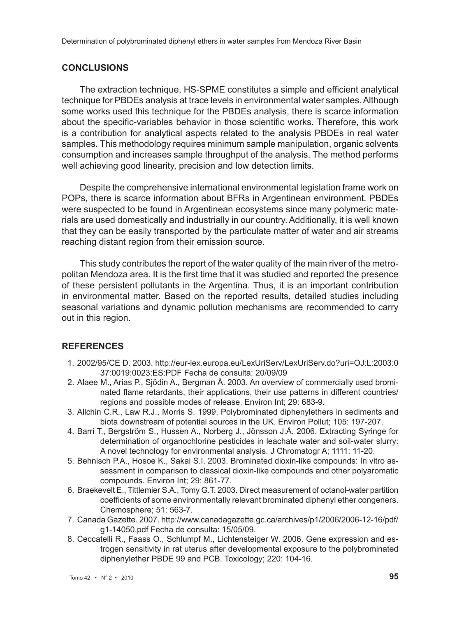#### **Conclusions**

The extraction technique, HS-SPME constitutes a simple and efficient analytical technique for PBDEs analysis at trace levels in environmental water samples. Although some works used this technique for the PBDEs analysis, there is scarce information about the specific-variables behavior in those scientific works. Therefore, this work is a contribution for analytical aspects related to the analysis PBDEs in real water samples. This methodology requires minimum sample manipulation, organic solvents consumption and increases sample throughput of the analysis. The method performs well achieving good linearity, precision and low detection limits.

Despite the comprehensive international environmental legislation frame work on POPs, there is scarce information about BFRs in Argentinean environment. PBDEs were suspected to be found in Argentinean ecosystems since many polymeric materials are used domestically and industrially in our country. Additionally, it is well known that they can be easily transported by the particulate matter of water and air streams reaching distant region from their emission source.

This study contributes the report of the water quality of the main river of the metropolitan Mendoza area. It is the first time that it was studied and reported the presence of these persistent pollutants in the Argentina. Thus, it is an important contribution in environmental matter. Based on the reported results, detailed studies including seasonal variations and dynamic pollution mechanisms are recommended to carry out in this region.

## **References**

- 1. 2002/95/CE D. 2003. http://eur-lex.europa.eu/LexUriServ/LexUriServ.do?uri=OJ:L:2003:0 37:0019:0023:ES:PDF Fecha de consulta: 20/09/09
- 2. Alaee M., Arias P., Sjödin A., Bergman Å. 2003. An overview of commercially used brominated flame retardants, their applications, their use patterns in different countries/ regions and possible modes of release. Environ Int; 29: 683-9.
- 3. Allchin C.R., Law R.J., Morris S. 1999. Polybrominated diphenylethers in sediments and biota downstream of potential sources in the UK. Environ Pollut; 105: 197-207.
- 4. Barri T., Bergström S., Hussen A., Norberg J., Jönsson J.Å. 2006. Extracting Syringe for determination of organochlorine pesticides in leachate water and soil-water slurry: A novel technology for environmental analysis. J Chromatogr A; 1111: 11-20.
- 5. Behnisch P.A., Hosoe K., Sakai S.I. 2003. Brominated dioxin-like compounds: In vitro assessment in comparison to classical dioxin-like compounds and other polyaromatic compounds. Environ Int; 29: 861-77.
- 6. Braekevelt E., Tittlemier S.A., Tomy G.T. 2003. Direct measurement of octanol-water partition coefficients of some environmentally relevant brominated diphenyl ether congeners. Chemosphere; 51: 563-7.
- 7. Canada Gazette. 2007. http://www.canadagazette.gc.ca/archives/p1/2006/2006-12-16/pdf/ g1-14050.pdf Fecha de consulta: 15/05/09.
- 8. Ceccatelli R., Faass O., Schlumpf M., Lichtensteiger W. 2006. Gene expression and estrogen sensitivity in rat uterus after developmental exposure to the polybrominated diphenylether PBDE 99 and PCB. Toxicology; 220: 104-16.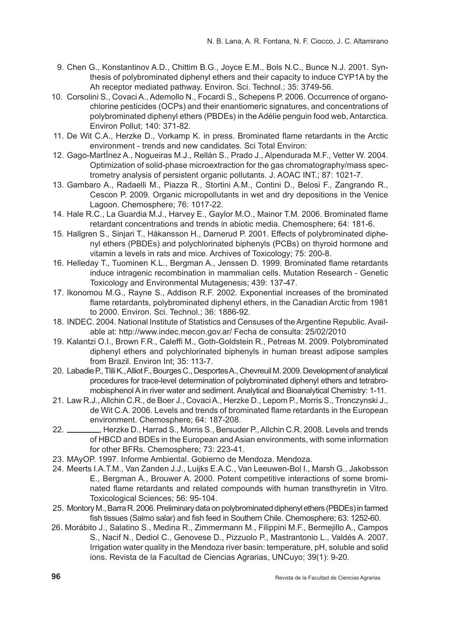- 9. Chen G., Konstantinov A.D., Chittim B.G., Joyce E.M., Bols N.C., Bunce N.J. 2001. Synthesis of polybrominated diphenyl ethers and their capacity to induce CYP1A by the Ah receptor mediated pathway. Environ. Sci. Technol.; 35: 3749-56.
- 10. Corsolini S., Covaci A., Ademollo N., Focardi S., Schepens P. 2006. Occurrence of organochlorine pesticides (OCPs) and their enantiomeric signatures, and concentrations of polybrominated diphenyl ethers (PBDEs) in the Adélie penguin food web, Antarctica. Environ Pollut; 140: 371-82.
- 11. De Wit C.A., Herzke D., Vorkamp K. in press. Brominated flame retardants in the Arctic environment - trends and new candidates. Sci Total Environ:
- 12. Gago-MartÍnez A., Nogueiras M.J., Rellán S., Prado J., Alpendurada M.F., Vetter W. 2004. Optimization of solid-phase microextraction for the gas chromatography/mass spectrometry analysis of persistent organic pollutants. J. AOAC INT.; 87: 1021-7.
- 13. Gambaro A., Radaelli M., Piazza R., Stortini A.M., Contini D., Belosi F., Zangrando R., Cescon P. 2009. Organic micropollutants in wet and dry depositions in the Venice Lagoon. Chemosphere; 76: 1017-22.
- 14. Hale R.C., La Guardia M.J., Harvey E., Gaylor M.O., Mainor T.M. 2006. Brominated flame retardant concentrations and trends in abiotic media. Chemosphere; 64: 181-6.
- 15. Hallgren S., Sinjari T., Håkansson H., Darnerud P. 2001. Effects of polybrominated diphenyl ethers (PBDEs) and polychlorinated biphenyls (PCBs) on thyroid hormone and vitamin a levels in rats and mice. Archives of Toxicology; 75: 200-8.
- 16. Helleday T., Tuominen K.L., Bergman A., Jenssen D. 1999. Brominated flame retardants induce intragenic recombination in mammalian cells. Mutation Research - Genetic Toxicology and Environmental Mutagenesis; 439: 137-47.
- 17. Ikonomou M.G., Rayne S., Addison R.F. 2002. Exponential increases of the brominated flame retardants, polybrominated diphenyl ethers, in the Canadian Arctic from 1981 to 2000. Environ. Sci. Technol.; 36: 1886-92.
- 18. INDEC. 2004. National Institute of Statistics and Censuses of the Argentine Republic. Available at: http://www.indec.mecon.gov.ar/ Fecha de consulta: 25/02/2010
- 19. Kalantzi O.I., Brown F.R., Caleffi M., Goth-Goldstein R., Petreas M. 2009. Polybrominated diphenyl ethers and polychlorinated biphenyls in human breast adipose samples from Brazil. Environ Int; 35: 113-7.
- 20. Labadie P., Tlili K., Alliot F., Bourges C., Desportes A., Chevreuil M. 2009. Development of analytical procedures for trace-level determination of polybrominated diphenyl ethers and tetrabromobisphenol A in river water and sediment. Analytical and Bioanalytical Chemistry: 1-11.
- 21. Law R.J., Allchin C.R., de Boer J., Covaci A., Herzke D., Lepom P., Morris S., Tronczynski J., de Wit C.A. 2006. Levels and trends of brominated flame retardants in the European environment. Chemosphere; 64: 187-208.
- 22.  $\frac{1}{22}$ , Herzke D., Harrad S., Morris S., Bersuder P., Allchin C.R. 2008. Levels and trends of HBCD and BDEs in the European and Asian environments, with some information for other BFRs. Chemosphere; 73: 223-41.
- 23. MAyOP. 1997. Informe Ambiental. Gobierno de Mendoza. Mendoza.
- 24. Meerts I.A.T.M., Van Zanden J.J., Luijks E.A.C., Van Leeuwen-Bol I., Marsh G., Jakobsson E., Bergman A., Brouwer A. 2000. Potent competitive interactions of some brominated flame retardants and related compounds with human transthyretin in Vitro. Toxicological Sciences; 56: 95-104.
- 25. Montory M., Barra R. 2006. Preliminary data on polybrominated diphenyl ethers (PBDEs) in farmed fish tissues (Salmo salar) and fish feed in Southern Chile. Chemosphere; 63: 1252-60.
- 26. Morábito J., Salatino S., Medina R., Zimmermann M., Filippini M.F., Bermejillo A., Campos S., Nacif N., Dediol C., Genovese D., Pizzuolo P., Mastrantonio L., Valdés A. 2007. Irrigation water quality in the Mendoza river basin: temperature, pH, soluble and solid ions. Revista de la Facultad de Ciencias Agrarias, UNCuyo; 39(1): 9-20.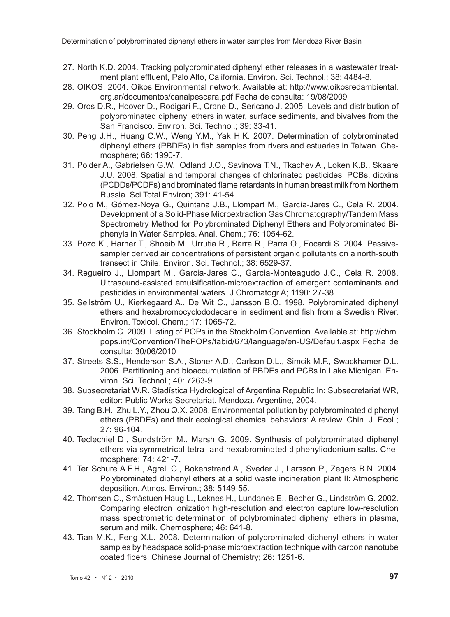Determination of polybrominated diphenyl ethers in water samples from Mendoza River Basin

- 27. North K.D. 2004. Tracking polybrominated diphenyl ether releases in a wastewater treatment plant effluent, Palo Alto, California. Environ. Sci. Technol.; 38: 4484-8.
- 28. OIKOS. 2004. Oikos Environmental network. Available at: http://www.oikosredambiental. org.ar/documentos/canalpescara.pdf Fecha de consulta: 19/08/2009
- 29. Oros D.R., Hoover D., Rodigari F., Crane D., Sericano J. 2005. Levels and distribution of polybrominated diphenyl ethers in water, surface sediments, and bivalves from the San Francisco. Environ. Sci. Technol.; 39: 33-41.
- 30. Peng J.H., Huang C.W., Weng Y.M., Yak H.K. 2007. Determination of polybrominated diphenyl ethers (PBDEs) in fish samples from rivers and estuaries in Taiwan. Chemosphere; 66: 1990-7.
- 31. Polder A., Gabrielsen G.W., Odland J.O., Savinova T.N., Tkachev A., Loken K.B., Skaare J.U. 2008. Spatial and temporal changes of chlorinated pesticides, PCBs, dioxins (PCDDs/PCDFs) and brominated flame retardants in human breast milk from Northern Russia. Sci Total Environ; 391: 41-54.
- 32. Polo M., Gómez-Noya G., Quintana J.B., Llompart M., García-Jares C., Cela R. 2004. Development of a Solid-Phase Microextraction Gas Chromatography/Tandem Mass Spectrometry Method for Polybrominated Diphenyl Ethers and Polybrominated Biphenyls in Water Samples. Anal. Chem.; 76: 1054-62.
- 33. Pozo K., Harner T., Shoeib M., Urrutia R., Barra R., Parra O., Focardi S. 2004. Passivesampler derived air concentrations of persistent organic pollutants on a north-south transect in Chile. Environ. Sci. Technol.; 38: 6529-37.
- 34. Regueiro J., Llompart M., Garcia-Jares C., Garcia-Monteagudo J.C., Cela R. 2008. Ultrasound-assisted emulsification-microextraction of emergent contaminants and pesticides in environmental waters. J Chromatogr A; 1190: 27-38.
- 35. Sellström U., Kierkegaard A., De Wit C., Jansson B.O. 1998. Polybrominated diphenyl ethers and hexabromocyclododecane in sediment and fish from a Swedish River. Environ. Toxicol. Chem.; 17: 1065-72.
- 36. Stockholm C. 2009. Listing of POPs in the Stockholm Convention. Available at: http://chm. pops.int/Convention/ThePOPs/tabid/673/language/en-US/Default.aspx Fecha de consulta: 30/06/2010
- 37. Streets S.S., Henderson S.A., Stoner A.D., Carlson D.L., Simcik M.F., Swackhamer D.L. 2006. Partitioning and bioaccumulation of PBDEs and PCBs in Lake Michigan. Environ. Sci. Technol.; 40: 7263-9.
- 38. Subsecretariat W.R. Stadística Hydrological of Argentina Republic In: Subsecretariat WR, editor: Public Works Secretariat. Mendoza. Argentine, 2004.
- 39. Tang B.H., Zhu L.Y., Zhou Q.X. 2008. Environmental pollution by polybrominated diphenyl ethers (PBDEs) and their ecological chemical behaviors: A review. Chin. J. Ecol.; 27: 96-104.
- 40. Teclechiel D., Sundström M., Marsh G. 2009. Synthesis of polybrominated diphenyl ethers via symmetrical tetra- and hexabrominated diphenyliodonium salts. Chemosphere; 74: 421-7.
- 41. Ter Schure A.F.H., Agrell C., Bokenstrand A., Sveder J., Larsson P., Zegers B.N. 2004. Polybrominated diphenyl ethers at a solid waste incineration plant II: Atmospheric deposition. Atmos. Environ.; 38: 5149-55.
- 42. Thomsen C., Småstuen Haug L., Leknes H., Lundanes E., Becher G., Lindström G. 2002. Comparing electron ionization high-resolution and electron capture low-resolution mass spectrometric determination of polybrominated diphenyl ethers in plasma, serum and milk. Chemosphere; 46: 641-8.
- 43. Tian M.K., Feng X.L. 2008. Determination of polybrominated diphenyl ethers in water samples by headspace solid-phase microextraction technique with carbon nanotube coated fibers. Chinese Journal of Chemistry; 26: 1251-6.